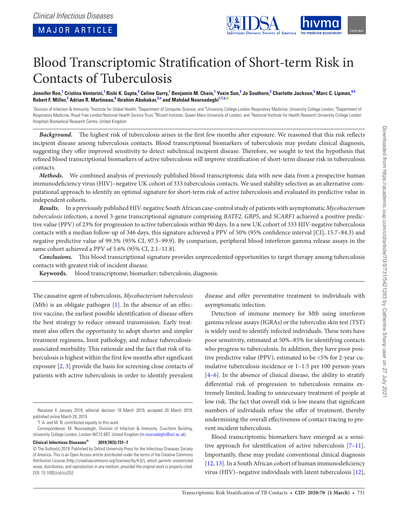

# Blood Transcriptomic Stratification of Short-term Risk in Contacts of Tuberculosis

Jennifer Roe,<sup>1</sup> Cristina Venturini,<sup>1</sup> Rishi K. Gupta,<sup>2</sup> Celine Gurry,<sup>1</sup> Benjamin M. Chain,<sup>1</sup> Yuxin Sun,<sup>3</sup> Jo Southern,<sup>2</sup> Charlotte Jackson,<sup>2</sup> Marc C. Lipman,<sup>4,5</sup>  $R$ obert F. Miller, $^2$  Adrian R. Martineau, $^6$  Ibrahim Abubakar, $^{2,a}$  and Mahdad Noursadeghi $^{1,7,a}$ 

<sup>1</sup>Division of Infection & Immunity, <sup>2</sup>Institute for Global Health, <sup>3</sup>Department of Computer Science, and <sup>4</sup>University College London Respiratory Medicine, University College London, <sup>5</sup>Department of Respiratory Medicine, Royal Free London National Health Service Trust, <sup>6</sup>Blizard Institute, Queen Mary University of London, and <sup>7</sup>National Institute for Health Research University College London Hospitals Biomedical Research Centre, United Kingdom

*Background.* The highest risk of tuberculosis arises in the first few months after exposure. We reasoned that this risk reflects incipient disease among tuberculosis contacts. Blood transcriptional biomarkers of tuberculosis may predate clinical diagnosis, suggesting they offer improved sensitivity to detect subclinical incipient disease. Therefore, we sought to test the hypothesis that refined blood transcriptional biomarkers of active tuberculosis will improve stratification of short-term disease risk in tuberculosis contacts.

*Methods.* We combined analysis of previously published blood transcriptomic data with new data from a prospective human immunodeficiency virus (HIV)–negative UK cohort of 333 tuberculosis contacts. We used stability selection as an alternative computational approach to identify an optimal signature for short-term risk of active tuberculosis and evaluated its predictive value in independent cohorts.

*Results.* In a previously published HIV-negative South African case-control study of patients with asymptomatic *Mycobacterium tuberculosis* infection, a novel 3-gene transcriptional signature comprising *BATF2, GBP5*, and *SCARF1* achieved a positive predictive value (PPV) of 23% for progression to active tuberculosis within 90 days. In a new UK cohort of 333 HIV-negative tuberculosis contacts with a median follow-up of 346 days, this signature achieved a PPV of 50% (95% confidence interval [CI], 15.7–84.3) and negative predictive value of 99.3% (95% CI, 97.5–99.9). By comparison, peripheral blood interferon gamma release assays in the same cohort achieved a PPV of 5.6% (95% CI, 2.1-11.8).

*Conclusions.* This blood transcriptional signature provides unprecedented opportunities to target therapy among tuberculosis contacts with greatest risk of incident disease.

**Keywords.** blood transcriptome; biomarker; tuberculosis; diagnosis.

The causative agent of tuberculosis, *Mycobacterium tuberculosis* (Mtb) is an obligate pathogen [\[1\]](#page-6-0). In the absence of an effective vaccine, the earliest possible identification of disease offers the best strategy to reduce onward transmission. Early treatment also offers the opportunity to adopt shorter and simpler treatment regimens, limit pathology, and reduce tuberculosisassociated morbidity. This rationale and the fact that risk of tuberculosis is highest within the first few months after significant exposure [[2](#page-6-1), [3](#page-6-2)] provide the basis for screening close contacts of patients with active tuberculosis in order to identify prevalent

<sup>a</sup>l. A. and M. N. contributed equally to this work.

**Clinical Infectious Diseases® 2019;70(5):731–7**

disease and offer preventative treatment to individuals with asymptomatic infection.

Detection of immune memory for Mtb using interferon gamma release assays (IGRAs) or the tuberculin skin test (TST) is widely used to identify infected individuals. These tests have poor sensitivity, estimated at 50%–85% for identifying contacts who progress to tuberculosis. In addition, they have poor positive predictive value (PPV), estimated to be <5% for 2-year cumulative tuberculosis incidence or 1–1.5 per 100 person-years  $[4-6]$ . In the absence of clinical disease, the ability to stratify differential risk of progression to tuberculosis remains extremely limited, leading to unnecessary treatment of people at low risk. The fact that overall risk is low means that significant numbers of individuals refuse the offer of treatment, thereby undermining the overall effectiveness of contact tracing to prevent incident tuberculosis.

Blood transcriptomic biomarkers have emerged as a sensitive approach for identification of active tuberculosis [[7–11](#page-6-4)]. Importantly, these may predate conventional clinical diagnosis [\[12](#page-6-5), [13](#page-6-6)]. In a South African cohort of human immunodeficiency virus (HIV)–negative individuals with latent tuberculosis [\[12](#page-6-5)],

Received 4 January 2019; editorial decision 18 March 2019; accepted 20 March 2019; published online March 28, 2019.

Correspondence: M. Noursadeghi, Division of Infection & Immunity, Cruciform Building, University College London, London WC1E 6BT, United Kingdom ([m.noursadeghi@ucl.ac.uk\)](mailto:m.noursadeghi@ucl.ac.uk?subject=).

<sup>©</sup> The Author(s) 2019. Published by Oxford University Press for the Infectious Diseases Society of America. This is an Open Access article distributed under the terms of the Creative Commons Attribution License (http://creativecommons.org/licenses/by/4.0/), which permits unrestricted reuse, distribution, and reproduction in any medium, provided the original work is properly cited. DOI: 10.1093/cid/ciz252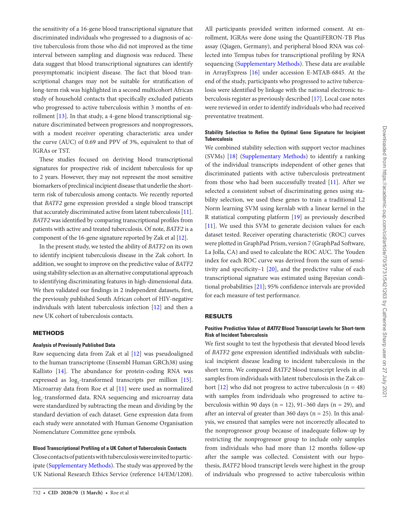Downloaded from https://academic.oup.com/cid/article/70/5/731/5421263 by Catherine Sharp user on 27 July 202 Downloaded from https://academic.oup.com/cid/article/70/5/731/5421263 by Catherine Sharp user on 27 July 2021

the sensitivity of a 16-gene blood transcriptional signature that discriminated individuals who progressed to a diagnosis of active tuberculosis from those who did not improved as the time interval between sampling and diagnosis was reduced. These data suggest that blood transcriptional signatures can identify presymptomatic incipient disease. The fact that blood transcriptional changes may not be suitable for stratification of long-term risk was highlighted in a second multicohort African study of household contacts that specifically excluded patients who progressed to active tuberculosis within 3 months of enrollment [\[13\]](#page-6-6). In that study, a 4-gene blood transcriptional signature discriminated between progressors and nonprogressors, with a modest receiver operating characteristic area under the curve (AUC) of 0.69 and PPV of 3%, equivalent to that of IGRAs or TST.

These studies focused on deriving blood transcriptional signatures for prospective risk of incident tuberculosis for up to 2 years. However, they may not represent the most sensitive biomarkers of preclinical incipient disease that underlie the shortterm risk of tuberculosis among contacts. We recently reported that *BATF2* gene expression provided a single blood transcript that accurately discriminated active from latent tuberculosis [[11\]](#page-6-7). *BATF2* was identified by comparing transcriptional profiles from patients with active and treated tuberculosis. Of note, *BATF2* is a component of the 16-gene signature reported by Zak et al [[12](#page-6-5)].

In the present study, we tested the ability of *BATF2* on its own to identify incipient tuberculosis disease in the Zak cohort. In addition, we sought to improve on the predictive value of *BATF2* using stability selection as an alternative computational approach to identifying discriminating features in high-dimensional data. We then validated our findings in 2 independent datasets, first, the previously published South African cohort of HIV-negative individuals with latent tuberculosis infection [\[12](#page-6-5)] and then a new UK cohort of tuberculosis contacts.

# **METHODS**

### **Analysis of Previously Published Data**

Raw sequencing data from Zak et al [\[12](#page-6-5)] was pseudoaligned to the human transcriptome (Ensembl Human GRCh38) using Kallisto [\[14](#page-6-8)]. The abundance for protein-coding RNA was expressed as  $log_2$ -transformed transcripts per million [\[15\]](#page-6-9). Microarray data from Roe et al [[11\]](#page-6-7) were used as normalized log<sub>2</sub>-transformed data. RNA sequencing and microarray data were standardized by subtracting the mean and dividing by the standard deviation of each dataset. Gene expression data from each study were annotated with Human Genome Organisation Nomenclature Committee gene symbols.

#### **Blood Transcriptional Profiling of a UK Cohort of Tuberculosis Contacts**

Close contacts of patients with tuberculosis were invited to participate (Supplementary Methods). The study was approved by the UK National Research Ethics Service (reference 14/EM/1208).

All participants provided written informed consent. At enrollment, IGRAs were done using the QuantiFERON-TB Plus assay (Qiagen, Germany), and peripheral blood RNA was collected into Tempus tubes for transcriptional profiling by RNA sequencing (Supplementary Methods). These data are available in ArrayExpress [[16\]](#page-6-10) under accession E-MTAB-6845. At the end of the study, participants who progressed to active tuberculosis were identified by linkage with the national electronic tuberculosis register as previously described [\[17](#page-6-10)]. Local case notes were reviewed in order to identify individuals who had received preventative treatment.

# **Stability Selection to Refine the Optimal Gene Signature for Incipient Tuberculosis**

We combined stability selection with support vector machines (SVMs) [[18\]](#page-6-11) (Supplementary Methods) to identify a ranking of the individual transcripts independent of other genes that discriminated patients with active tuberculosis pretreatment from those who had been successfully treated [\[11](#page-6-7)]. After we selected a consistent subset of discriminating genes using stability selection, we used these genes to train a traditional L2 Norm learning SVM using kernlab with a linear kernel in the R statistical computing platform [[19\]](#page-6-12) as previously described [\[11](#page-6-7)]. We used this SVM to generate decision values for each dataset tested. Receiver operating characteristic (ROC) curves were plotted in GraphPad Prism, version 7 (GraphPad Software, La Jolla, CA) and used to calculate the ROC AUC. The Youden index for each ROC curve was derived from the sum of sensitivity and specificity–1 [\[20](#page-6-13)], and the predictive value of each transcriptional signature was estimated using Bayesian conditional probabilities [[21](#page-6-14)]; 95% confidence intervals are provided for each measure of test performance.

#### RESULTS

## **Positive Predictive Value of** *BATF2* **Blood Transcript Levels for Short-term Risk of Incident Tuberculosis**

We first sought to test the hypothesis that elevated blood levels of *BATF2* gene expression identified individuals with subclinical incipient disease leading to incident tuberculosis in the short term. We compared *BATF2* blood transcript levels in all samples from individuals with latent tuberculosis in the Zak cohort  $[12]$  $[12]$  who did not progress to active tuberculosis  $(n = 48)$ with samples from individuals who progressed to active tuberculosis within 90 days ( $n = 12$ ), 91-360 days ( $n = 29$ ), and after an interval of greater than 360 days ( $n = 25$ ). In this analysis, we ensured that samples were not incorrectly allocated to the nonprogressor group because of inadequate follow-up by restricting the nonprogressor group to include only samples from individuals who had more than 12 months follow-up after the sample was collected. Consistent with our hypothesis, *BATF2* blood transcript levels were highest in the group of individuals who progressed to active tuberculosis within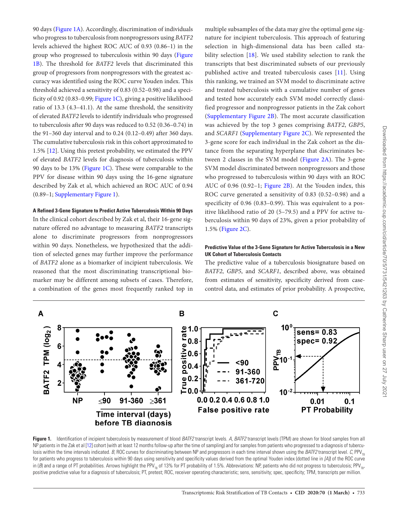90 days ([Figure 1A](#page-2-0)). Accordingly, discrimination of individuals who progress to tuberculosis from nonprogressors using *BATF2* levels achieved the highest ROC AUC of 0.93 (0.86–1) in the group who progressed to tuberculosis within 90 days ([Figure](#page-2-0)  [1B](#page-2-0)). The threshold for *BATF2* levels that discriminated this group of progressors from nonprogressors with the greatest accuracy was identified using the ROC curve Youden index. This threshold achieved a sensitivity of 0.83 (0.52–0.98) and a specificity of 0.92 (0.83–0.99; [Figure 1C\)](#page-2-0), giving a positive likelihood ratio of 13.3 (4.3–41.1). At the same threshold, the sensitivity of elevated *BATF2* levels to identify individuals who progressed to tuberculosis after 90 days was reduced to 0.52 (0.36–0.74) in the 91–360 day interval and to 0.24 (0.12–0.49) after 360 days. The cumulative tuberculosis risk in this cohort approximated to 1.5% [\[12](#page-6-5)]. Using this pretest probability, we estimated the PPV of elevated *BATF2* levels for diagnosis of tuberculosis within 90 days to be 13% ([Figure 1C\)](#page-2-0). These were comparable to the PPV for disease within 90 days using the 16-gene signature described by Zak et al, which achieved an ROC AUC of 0.94 (0.89–1; Supplementary Figure 1).

#### **A Refined 3-Gene Signature to Predict Active Tuberculosis Within 90 Days**

In the clinical cohort described by Zak et al, their 16-gene signature offered no advantage to measuring *BATF2* transcripts alone to discriminate progressors from nonprogressors within 90 days. Nonetheless, we hypothesized that the addition of selected genes may further improve the performance of *BATF2* alone as a biomarker of incipient tuberculosis. We reasoned that the most discriminating transcriptional biomarker may be different among subsets of cases. Therefore, a combination of the genes most frequently ranked top in

multiple subsamples of the data may give the optimal gene signature for incipient tuberculosis. This approach of featuring selection in high-dimensional data has been called stability selection [[18](#page-6-11)]. We used stability selection to rank the transcripts that best discriminated subsets of our previously published active and treated tuberculosis cases [\[11\]](#page-6-7). Using this ranking, we trained an SVM model to discriminate active and treated tuberculosis with a cumulative number of genes and tested how accurately each SVM model correctly classified progressor and nonprogressor patients in the Zak cohort (Supplementary Figure 2B). The most accurate classification was achieved by the top 3 genes comprising *BATF2*, *GBP5*, and *SCARF1* (Supplementary Figure 2C). We represented the 3-gene score for each individual in the Zak cohort as the distance from the separating hyperplane that discriminates between 2 classes in the SVM model [\(Figure 2A](#page-3-0)). The 3-gene SVM model discriminated between nonprogressors and those who progressed to tuberculosis within 90 days with an ROC AUC of 0.96 (0.92–1; [Figure 2B](#page-3-0)). At the Youden index, this ROC curve generated a sensitivity of 0.83 (0.52–0.98) and a specificity of 0.96 (0.83–0.99). This was equivalent to a positive likelihood ratio of 20 (5–79.5) and a PPV for active tuberculosis within 90 days of 23%, given a prior probability of 1.5% [\(Figure 2C\)](#page-3-0).

#### **Predictive Value of the 3-Gene Signature for Active Tuberculosis in a New UK Cohort of Tuberculosis Contacts**

The predictive value of a tuberculosis biosignature based on *BATF2*, *GBP5*, and *SCARF1*, described above, was obtained from estimates of sensitivity, specificity derived from casecontrol data, and estimates of prior probability. A prospective,



<span id="page-2-0"></span>**Figure 1.** Identification of incipient tuberculosis by measurement of blood *BATF2* transcript levels. *A*, *BATF2* transcript levels (TPM) are shown for blood samples from all NP patients in the Zak et al [[12\]](#page-6-5) cohort (with at least 12 months follow-up after the time of sampling) and for samples from patients who progressed to a diagnosis of tuberculosis within the time intervals indicated. *B*, ROC curves for discriminating between NP and progressors in each time interval shown using the *BATF2* transcript level. *C*, PPV<sub>TD</sub> for patients who progress to tuberculosis within 90 days using sensitivity and specificity values derived from the optimal Youden index (dotted line in *[A]*) of the ROC curve in (*B*) and a range of PT probabilities. Arrows highlight the PPV<sub>TB</sub> of 13% for PT probability of 1.5%. Abbreviations: NP, patients who did not progress to tuberculosis; PPV<sub>TB</sub>, positive predictive value for a diagnosis of tuberculosis; PT, pretest; ROC, receiver operating characteristic; sens, sensitivity; spec, specificity; TPM, transcripts per million.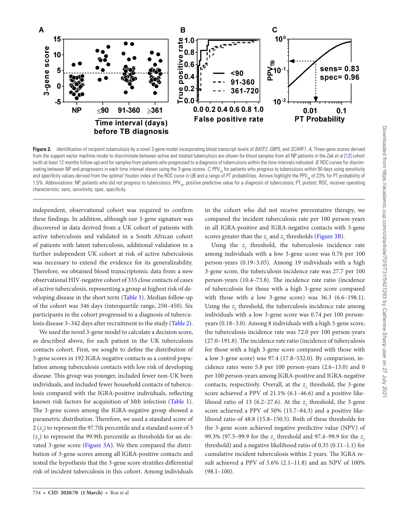

<span id="page-3-0"></span>**Figure 2.** Identification of incipient tuberculosis by a novel 3-gene model incorporating blood transcript levels of *BATF2*, *GBP5*, and *SCARF1*. *A*, Three-gene scores derived from the support vector machine model to discriminate between active and treated tuberculosis are shown for blood samples from all NP patients in the Zak et al [\[12](#page-6-5)] cohort (with at least 12 months follow-up) and for samples from patients who progressed to a diagnosis of tuberculosis within the time intervals indicated. *B*, ROC curves for discriminating between NP and progressors in each time interval shown using the 3-gene scores. C, PPV<sub>TB</sub> for patients who progress to tuberculosis within 90 days using sensitivity and specificity values derived from the optimal Youden index of the ROC curve in (B) and a range of PT probabilities. Arrows highlight the PPV<sub>To</sub> of 23% for PT probability of 1.5%. Abbreviations: NP, patients who did not progress to tuberculosis; PPV<sub>TR</sub>, positive predictive value for a diagnosis of tuberculosis; PT, pretest; ROC, receiver operating characteristic; sens, sensitivity; spec, specificity.

independent, observational cohort was required to confirm these findings. In addition, although our 3-gene signature was discovered in data derived from a UK cohort of patients with active tuberculosis and validated in a South African cohort of patients with latent tuberculosis, additional validation in a further independent UK cohort at risk of active tuberculosis was necessary to extend the evidence for its generalizability. Therefore, we obtained blood transcriptomic data from a new observational HIV-negative cohort of 333 close contacts of cases of active tuberculosis, representing a group at highest risk of developing disease in the short term [\(Table 1\)](#page-4-0). Median follow-up of the cohort was 346 days (interquartile range, 250–450). Six participants in the cohort progressed to a diagnosis of tuberculosis disease 3–342 days after recruitment to the study ([Table 2\)](#page-4-1).

We used the novel 3-gene model to calculate a decision score, as described above, for each patient in the UK tuberculosis contacts cohort. First, we sought to define the distribution of 3-gene scores in 192 IGRA-negative contacts as a control population among tuberculosis contacts with low risk of developing disease. This group was younger, included fewer non-UK born individuals, and included fewer household contacts of tuberculosis compared with the IGRA-positive individuals, reflecting known risk factors for acquisition of Mtb infection ([Table 1\)](#page-4-0). The 3-gene scores among the IGRA-negative group showed a parametric distribution. Therefore, we used a standard score of  $2 \, (z_{_2})$  to represent the 97.7th percentile and a standard score of 3  $(z_3)$  to represent the 99.9th percentile as thresholds for an elevated 3-gene score ([Figure 3A](#page-5-0)). We then compared the distribution of 3-gene scores among all IGRA-positive contacts and tested the hypothesis that the 3-gene score stratifies differential risk of incident tuberculosis in this cohort. Among individuals

in the cohort who did not receive preventative therapy, we compared the incident tuberculosis rate per 100 person-years in all IGRA-positive and IGRA-negative contacts with 3-gene scores greater than the  $z_2$  and  $z_3$  thresholds ([Figure 3B](#page-5-0)).

Using the  $z_2$  threshold, the tuberculosis incidence rate among individuals with a low 3-gene score was 0.76 per 100 person-years (0.19–3.05). Among 19 individuals with a high 3-gene score, the tuberculosis incidence rate was 27.7 per 100 person-years (10.4–73.8). The incidence rate ratio (incidence of tuberculosis for those with a high 3-gene score compared with those with a low 3-gene score) was 36.3 (6.6–198.1). Using the  $z_3$  threshold, the tuberculosis incidence rate among individuals with a low 3-gene score was 0.74 per 100 personyears (0.18–3.0). Among 8 individuals with a high 3-gene score, the tuberculosis incidence rate was 72.0 per 100 person-years (27.0–191.8). The incidence rate ratio (incidence of tuberculosis for those with a high 3-gene score compared with those with a low 3-gene score) was 97.4 (17.8–532.0). By comparison, incidence rates were 5.8 per 100 person-years (2.6–13.0) and 0 per 100 person-years among IGRA-positive and IGRA-negative contacts, respectively. Overall, at the  $z_2$  threshold, the 3-gene score achieved a PPV of 21.1% (6.1–46.6) and a positive likelihood ratio of 13 (6.2–27.6). At the  $z<sub>3</sub>$  threshold, the 3-gene score achieved a PPV of 50% (15.7–84.3) and a positive likelihood ratio of 48.8 (15.8–150.5). Both of these thresholds for the 3-gene score achieved negative predictive value (NPV) of 99.3% (97.5–99.9 for the *z*<sub>3</sub> threshold and 97.4–99.9 for the *z*<sub>2</sub> threshold) and a negative likelihood ratio of 0.35 (0.11–1.1) for cumulative incident tuberculosis within 2 years. The IGRA result achieved a PPV of 5.6% (2.1–11.8) and an NPV of 100%  $(98.1-100)$ .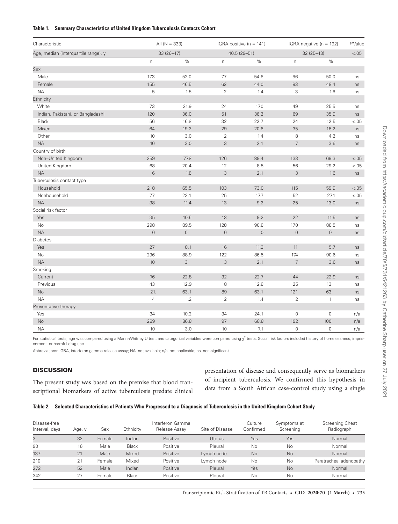#### <span id="page-4-0"></span>**Table 1. Summary Characteristics of United Kingdom Tuberculosis Contacts Cohort**

| Characteristic                       | All $(N = 333)$<br>$33(26 - 47)$ |             | IGRA positive ( $n = 141$ )<br>40.5 (29-51) |         | IGRA negative (n = 192)<br>$32(25 - 43)$ |                     | PValue<br>$< 0.05$ |
|--------------------------------------|----------------------------------|-------------|---------------------------------------------|---------|------------------------------------------|---------------------|--------------------|
| Age, median (interquartile range), y |                                  |             |                                             |         |                                          |                     |                    |
|                                      | $\mathsf{n}$                     | $\%$        | $\mathsf{n}$                                | $\%$    | $\boldsymbol{\mathsf{n}}$                | $\%$                |                    |
| Sex                                  |                                  |             |                                             |         |                                          |                     |                    |
| Male                                 | 173                              | 52.0        | 77                                          | 54.6    | 96                                       | 50.0                | ns                 |
| Female                               | 155                              | 46.5        | 62                                          | 44.0    | 93                                       | 48.4                | ns                 |
| <b>NA</b>                            | 5                                | 1.5         | $\mathbf{2}$                                | 1.4     | 3                                        | 1.6                 | ns                 |
| Ethnicity                            |                                  |             |                                             |         |                                          |                     |                    |
| White                                | 73                               | 21.9        | 24                                          | 17.0    | 49                                       | 25.5                | ns                 |
| Indian, Pakistani, or Bangladeshi    | 120                              | 36.0        | 51                                          | 36.2    | 69                                       | 35.9                | ns                 |
| <b>Black</b>                         | 56                               | 16.8        | 32                                          | 22.7    | 24                                       | 12.5                | $-.05$             |
| Mixed                                | 64                               | 19.2        | 29                                          | 20.6    | 35                                       | 18.2                | ns                 |
| Other                                | 10                               | 3.0         | $\overline{2}$                              | 1.4     | 8                                        | 4.2                 | ns                 |
| <b>NA</b>                            | 10                               | 3.0         | 3                                           | 2.1     | $\overline{7}$                           | 3.6                 | ns                 |
| Country of birth                     |                                  |             |                                             |         |                                          |                     |                    |
| Non-United Kingdom                   | 259                              | 77.8        | 126                                         | 89.4    | 133                                      | 69.3                | $-.05$             |
| United Kingdom                       | 68                               | 20.4        | 12                                          | 8.5     | 56                                       | 29.2                | $-.05$             |
| <b>NA</b>                            | 6                                | 1.8         | 3                                           | 2.1     | $\mathfrak{Z}$                           | 1.6                 | ns                 |
| Tuberculosis contact type            |                                  |             |                                             |         |                                          |                     |                    |
| Household                            | 218                              | 65.5        | 103                                         | 73.0    | 115                                      | 59.9                | $-.05$             |
| Nonhousehold                         | 77                               | 23.1        | 25                                          | 17.7    | 52                                       | 27.1                | $-.05$             |
| <b>NA</b>                            | 38                               | 11.4        | 13                                          | 9.2     | 25                                       | 13.0                | ns                 |
| Social risk factor                   |                                  |             |                                             |         |                                          |                     |                    |
| Yes                                  | 35                               | 10.5        | 13                                          | 9.2     | 22                                       | 11.5                | ns                 |
| No                                   | 298                              | 89.5        | 128                                         | 90.8    | 170                                      | 88.5                | ns                 |
| <b>NA</b>                            | $\mathbf 0$                      | $\mathbb O$ | $\mathbf 0$                                 | $\circ$ | $\mathbf 0$                              | $\mathsf{O}\xspace$ | ns                 |
| Diabetes                             |                                  |             |                                             |         |                                          |                     |                    |
| Yes                                  | 27                               | 8.1         | 16                                          | 11.3    | 11                                       | 5.7                 | ns                 |
| No                                   | 296                              | 88.9        | 122                                         | 86.5    | 174                                      | 90.6                | ns                 |
| <b>NA</b>                            | 10                               | 3           | $\mathfrak{Z}$                              | 2.1     | $7\overline{ }$                          | 3.6                 | ns                 |
| Smoking                              |                                  |             |                                             |         |                                          |                     |                    |
| Current                              | 76                               | 22.8        | 32                                          | 22.7    | 44                                       | 22.9                | ns                 |
| Previous                             | 43                               | 12.9        | 18                                          | 12.8    | 25                                       | 13                  | ns                 |
| No                                   | 21.                              | 63.1        | 89                                          | 63.1    | 121                                      | 63                  | ns                 |
| <b>NA</b>                            | $\overline{4}$                   | 1.2         | $\overline{2}$                              | 1.4     | $\overline{2}$                           | $\mathbf{1}$        | ns                 |
| Preventative therapy                 |                                  |             |                                             |         |                                          |                     |                    |
| Yes                                  | 34                               | 10.2        | 34                                          | 24.1    | $\mathbf 0$                              | 0                   | n/a                |
| <b>No</b>                            | 289                              | 86.8        | 97                                          | 68.8    | 192                                      | 100                 | n/a                |
| <b>NA</b>                            | 10                               | 3.0         | 10                                          | 7.1     | $\mathsf{O}\xspace$                      | 0                   | n/a                |

For statistical tests, age was compared using a Mann-Whitney U test, and categorical variables were compared using  $\chi^2$  tests. Social risk factors included history of homelessness, imprisonment, or harmful drug use.

Abbreviations: IGRA, interferon gamma release assay; NA, not available; n/a, not applicable; ns, non-significant.

# **DISCUSSION**

The present study was based on the premise that blood transcriptional biomarkers of active tuberculosis predate clinical presentation of disease and consequently serve as biomarkers of incipient tuberculosis. We confirmed this hypothesis in data from a South African case-control study using a single

# <span id="page-4-1"></span>**Table 2. Selected Characteristics of Patients Who Progressed to a Diagnosis of Tuberculosis in the United Kingdom Cohort Study**

| Disease-free<br>Interval, days | Age, y | Sex    | Ethnicity    | Interferon Gamma<br>Release Assay | Site of Disease | Culture<br>Confirmed | Symptoms at<br>Screening | Screening Chest<br>Radiograph |
|--------------------------------|--------|--------|--------------|-----------------------------------|-----------------|----------------------|--------------------------|-------------------------------|
| 3                              | 32     | Female | Indian       | Positive                          | <b>Uterus</b>   | Yes                  | Yes                      | Normal                        |
| 90                             | 16     | Male   | <b>Black</b> | Positive                          | Pleural         | No                   | No                       | Normal                        |
| 137                            | 21     | Male   | Mixed        | Positive                          | Lymph node      | <b>No</b>            | <b>No</b>                | Normal                        |
| 210                            | 21     | Female | Mixed        | Positive                          | Lymph node      | No                   | No                       | Paratracheal adenopathy       |
| 272                            | 52     | Male   | Indian       | Positive                          | Pleural         | Yes                  | <b>No</b>                | Normal                        |
| 342                            | 27     | Female | <b>Black</b> | Positive                          | Pleural         | <b>No</b>            | No                       | Normal                        |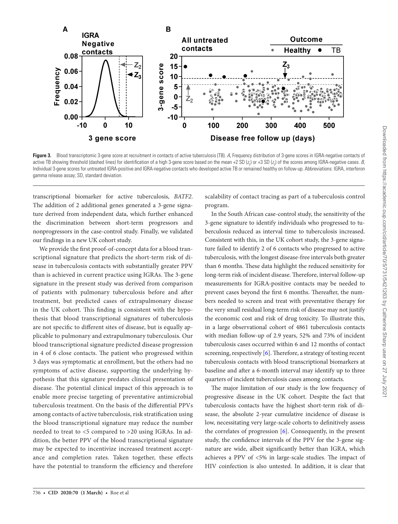

<span id="page-5-0"></span>**Figure 3.** Blood transcriptomic 3-gene score at recruitment in contacts of active tuberculosis (TB). *A*, Frequency distribution of 3-gene scores in IGRA-negative contacts of active TB showing threshold (dashed lines) for identification of a high 3-gene score based on the mean +2 SD (*z<sub>2</sub>*) or +3 SD (*z<sub>3</sub>*) of the scores among IGRA-negative cases. *B*, Individual 3-gene scores for untreated IGRA-positive and IGRA-negative contacts who developed active TB or remained healthy on follow-up. Abbreviations: IGRA, interferon gamma release assay; SD, standard deviation.

transcriptional biomarker for active tuberculosis, *BATF2*. The addition of 2 additional genes generated a 3-gene signature derived from independent data, which further enhanced the discrimination between short-term progressors and nonprogressors in the case-control study. Finally, we validated our findings in a new UK cohort study.

We provide the first proof-of-concept data for a blood transcriptional signature that predicts the short-term risk of disease in tuberculosis contacts with substantially greater PPV than is achieved in current practice using IGRAs. The 3-gene signature in the present study was derived from comparison of patients with pulmonary tuberculosis before and after treatment, but predicted cases of extrapulmonary disease in the UK cohort. This finding is consistent with the hypothesis that blood transcriptional signatures of tuberculosis are not specific to different sites of disease, but is equally applicable to pulmonary and extrapulmonary tuberculosis. Our blood transcriptional signature predicted disease progression in 4 of 6 close contacts. The patient who progressed within 3 days was symptomatic at enrollment, but the others had no symptoms of active disease, supporting the underlying hypothesis that this signature predates clinical presentation of disease. The potential clinical impact of this approach is to enable more precise targeting of preventative antimicrobial tuberculosis treatment. On the basis of the differential PPVs among contacts of active tuberculosis, risk stratification using the blood transcriptional signature may reduce the number needed to treat to <5 compared to >20 using IGRAs. In addition, the better PPV of the blood transcriptional signature may be expected to incentivize increased treatment acceptance and completion rates. Taken together, these effects have the potential to transform the efficiency and therefore

scalability of contact tracing as part of a tuberculosis control program.

In the South African case-control study, the sensitivity of the 3-gene signature to identify individuals who progressed to tuberculosis reduced as interval time to tuberculosis increased. Consistent with this, in the UK cohort study, the 3-gene signature failed to identify 2 of 6 contacts who progressed to active tuberculosis, with the longest disease-free intervals both greater than 6 months. These data highlight the reduced sensitivity for long-term risk of incident disease. Therefore, interval follow-up measurements for IGRA-positive contacts may be needed to prevent cases beyond the first 6 months. Thereafter, the numbers needed to screen and treat with preventative therapy for the very small residual long-term risk of disease may not justify the economic cost and risk of drug toxicity. To illustrate this, in a large observational cohort of 4861 tuberculosis contacts with median follow-up of 2.9 years, 52% and 73% of incident tuberculosis cases occurred within 6 and 12 months of contact screening, respectively [[6](#page-6-15)]. Therefore, a strategy of testing recent tuberculosis contacts with blood transcriptional biomarkers at baseline and after a 6-month interval may identify up to three quarters of incident tuberculosis cases among contacts.

The major limitation of our study is the low frequency of progressive disease in the UK cohort. Despite the fact that tuberculosis contacts have the highest short-term risk of disease, the absolute 2-year cumulative incidence of disease is low, necessitating very large-scale cohorts to definitively assess the correlates of progression  $[6]$  $[6]$  $[6]$ . Consequently, in the present study, the confidence intervals of the PPV for the 3-gene signature are wide, albeit significantly better than IGRA, which achieves a PPV of <5% in large-scale studies. The impact of HIV coinfection is also untested. In addition, it is clear that